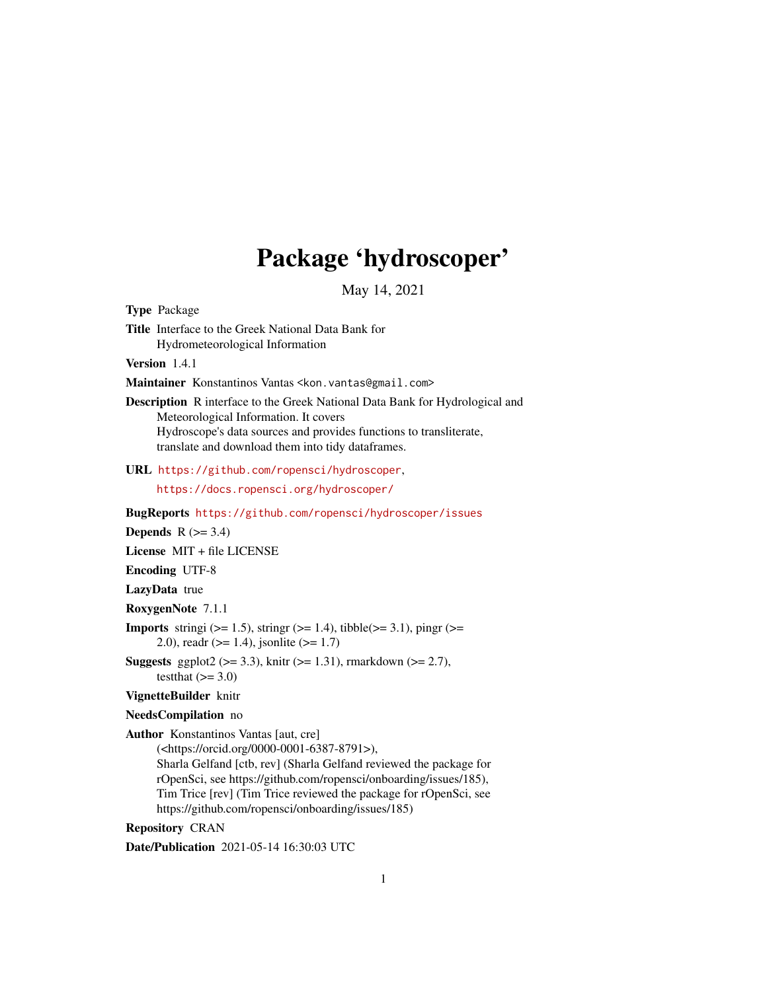# Package 'hydroscoper'

May 14, 2021

Type Package

Title Interface to the Greek National Data Bank for Hydrometeorological Information

Version 1.4.1

Maintainer Konstantinos Vantas <kon. vantas@gmail.com>

Description R interface to the Greek National Data Bank for Hydrological and Meteorological Information. It covers Hydroscope's data sources and provides functions to transliterate, translate and download them into tidy dataframes.

URL <https://github.com/ropensci/hydroscoper>,

<https://docs.ropensci.org/hydroscoper/>

BugReports <https://github.com/ropensci/hydroscoper/issues>

Depends  $R$  ( $>= 3.4$ )

License MIT + file LICENSE

Encoding UTF-8

LazyData true

RoxygenNote 7.1.1

**Imports** stringi ( $>= 1.5$ ), stringr ( $>= 1.4$ ), tibble( $>= 3.1$ ), pingr ( $>= 1.4$ ) 2.0), readr ( $>= 1.4$ ), jsonlite ( $>= 1.7$ )

**Suggests** ggplot2 ( $>= 3.3$ ), knitr ( $>= 1.31$ ), rmarkdown ( $>= 2.7$ ), testthat  $(>= 3.0)$ 

VignetteBuilder knitr

NeedsCompilation no

Author Konstantinos Vantas [aut, cre]

(<https://orcid.org/0000-0001-6387-8791>), Sharla Gelfand [ctb, rev] (Sharla Gelfand reviewed the package for rOpenSci, see https://github.com/ropensci/onboarding/issues/185), Tim Trice [rev] (Tim Trice reviewed the package for rOpenSci, see https://github.com/ropensci/onboarding/issues/185)

Repository CRAN

Date/Publication 2021-05-14 16:30:03 UTC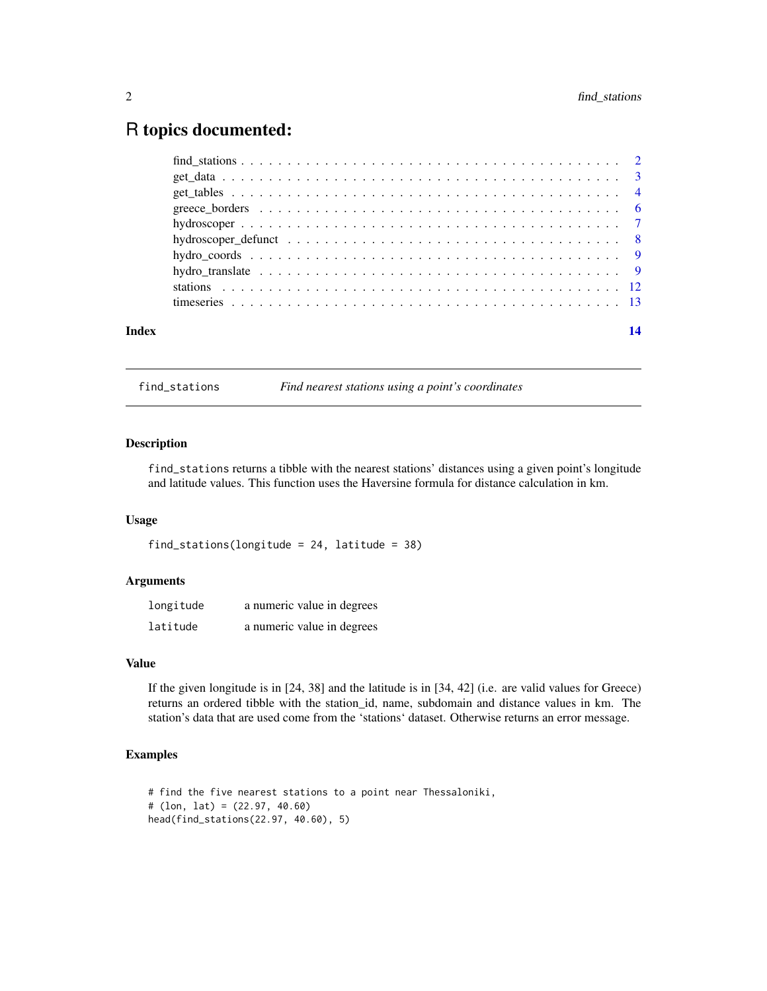# <span id="page-1-0"></span>R topics documented:

| Index |  |
|-------|--|
|       |  |
|       |  |
|       |  |
|       |  |
|       |  |
|       |  |
|       |  |
|       |  |
|       |  |
|       |  |

find\_stations *Find nearest stations using a point's coordinates*

### Description

find\_stations returns a tibble with the nearest stations' distances using a given point's longitude and latitude values. This function uses the Haversine formula for distance calculation in km.

#### Usage

```
find_stations(longitude = 24, latitude = 38)
```
#### Arguments

| longitude | a numeric value in degrees |
|-----------|----------------------------|
| latitude  | a numeric value in degrees |

# Value

If the given longitude is in [24, 38] and the latitude is in [34, 42] (i.e. are valid values for Greece) returns an ordered tibble with the station\_id, name, subdomain and distance values in km. The station's data that are used come from the 'stations' dataset. Otherwise returns an error message.

#### Examples

```
# find the five nearest stations to a point near Thessaloniki,
# (lon, lat) = (22.97, 40.60)
head(find_stations(22.97, 40.60), 5)
```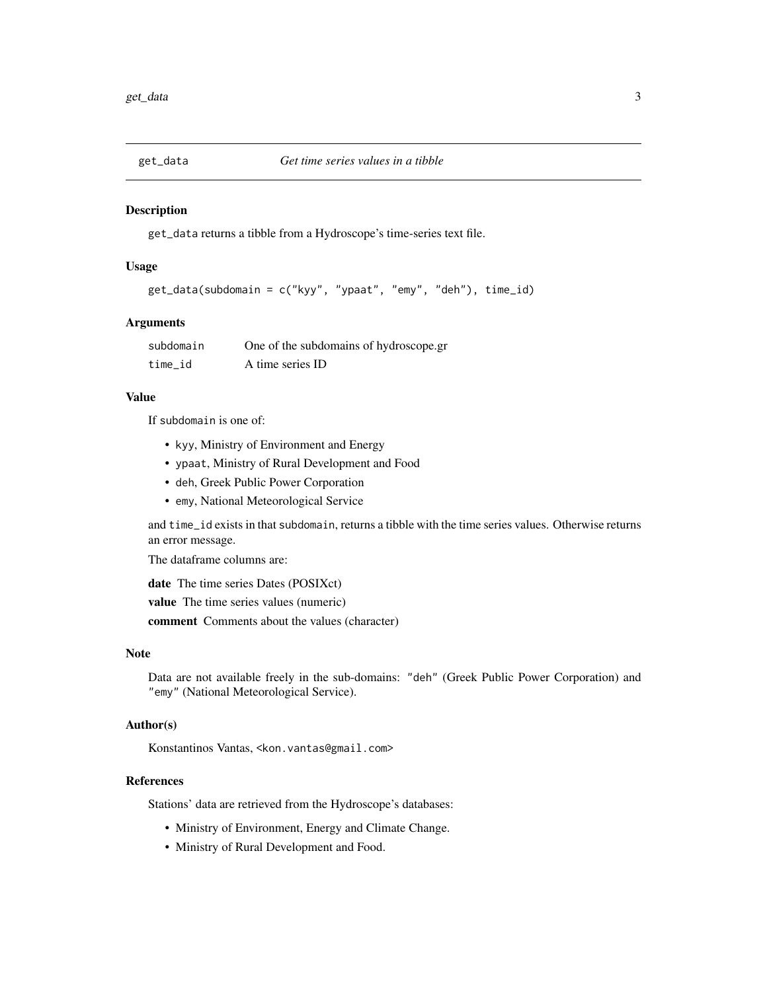<span id="page-2-0"></span>

#### Description

get\_data returns a tibble from a Hydroscope's time-series text file.

### Usage

```
get_data(subdomain = c("kyy", "ypaat", "emy", "deh"), time_id)
```
# Arguments

| subdomain | One of the subdomains of hydroscope.gr |
|-----------|----------------------------------------|
| time id   | A time series ID                       |

#### Value

If subdomain is one of:

- kyy, Ministry of Environment and Energy
- ypaat, Ministry of Rural Development and Food
- deh, Greek Public Power Corporation
- emy, National Meteorological Service

and time\_id exists in that subdomain, returns a tibble with the time series values. Otherwise returns an error message.

The dataframe columns are:

date The time series Dates (POSIXct)

value The time series values (numeric)

comment Comments about the values (character)

#### Note

Data are not available freely in the sub-domains: "deh" (Greek Public Power Corporation) and "emy" (National Meteorological Service).

#### Author(s)

Konstantinos Vantas, <kon.vantas@gmail.com>

#### References

Stations' data are retrieved from the Hydroscope's databases:

- Ministry of Environment, Energy and Climate Change.
- Ministry of Rural Development and Food.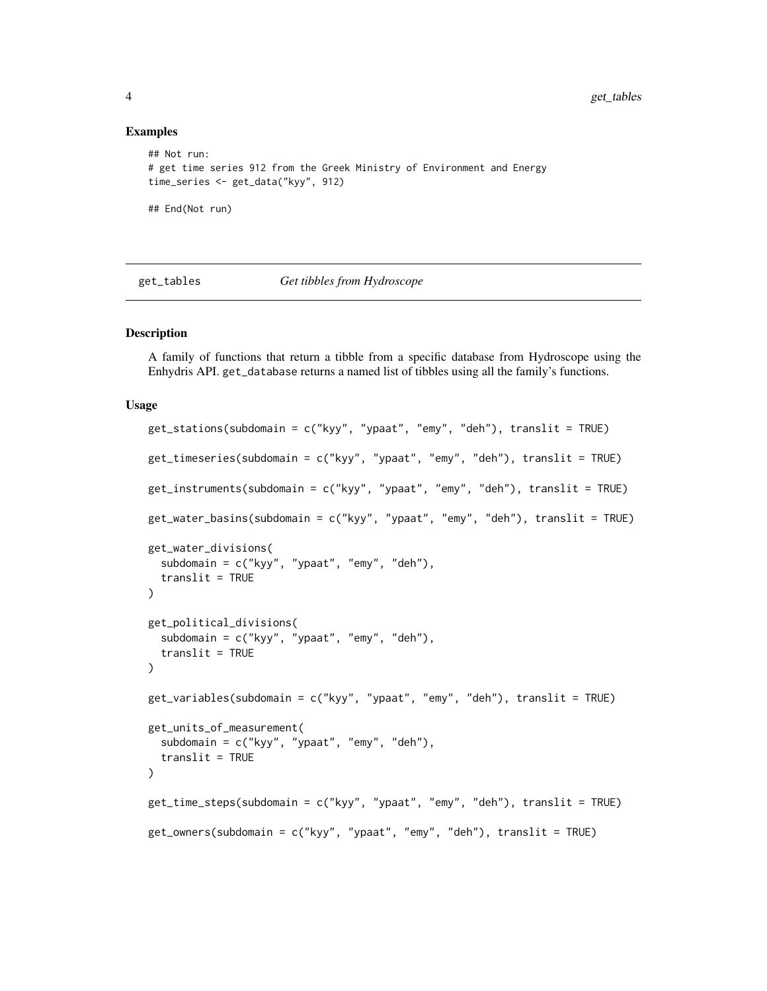#### Examples

```
## Not run:
# get time series 912 from the Greek Ministry of Environment and Energy
time_series <- get_data("kyy", 912)
## End(Not run)
```
#### get\_tables *Get tibbles from Hydroscope*

#### Description

A family of functions that return a tibble from a specific database from Hydroscope using the Enhydris API. get\_database returns a named list of tibbles using all the family's functions.

#### Usage

```
get_stations(subdomain = c("kyy", "ypaat", "emy", "deh"), translit = TRUE)
get_timeseries(subdomain = c("kyy", "ypaat", "emy", "deh"), translit = TRUE)
get_instruments(subdomain = c("kyy", "ypaat", "emy", "deh"), translit = TRUE)
get_water_basins(subdomain = c("kyy", "ypaat", "emy", "deh"), translit = TRUE)
get_water_divisions(
  subdomain = c("kyy", "ypaat", "emy", "deh"),
  translit = TRUE
\lambdaget_political_divisions(
  subdomain = c("kyy", "ypaat", "emy", "deh"),
  translit = TRUE
\lambdaget_variables(subdomain = c("kyy", "ypaat", "emy", "deh"), translit = TRUE)
get_units_of_measurement(
  subdomain = c("kyy", "ypaat", "emy", "deh"),
  translit = TRUE
\lambdaget_time_steps(subdomain = c("kyy", "ypaat", "emy", "deh"), translit = TRUE)
get_owners(subdomain = c("kyy", "ypaat", "emy", "deh"), translit = TRUE)
```
<span id="page-3-0"></span>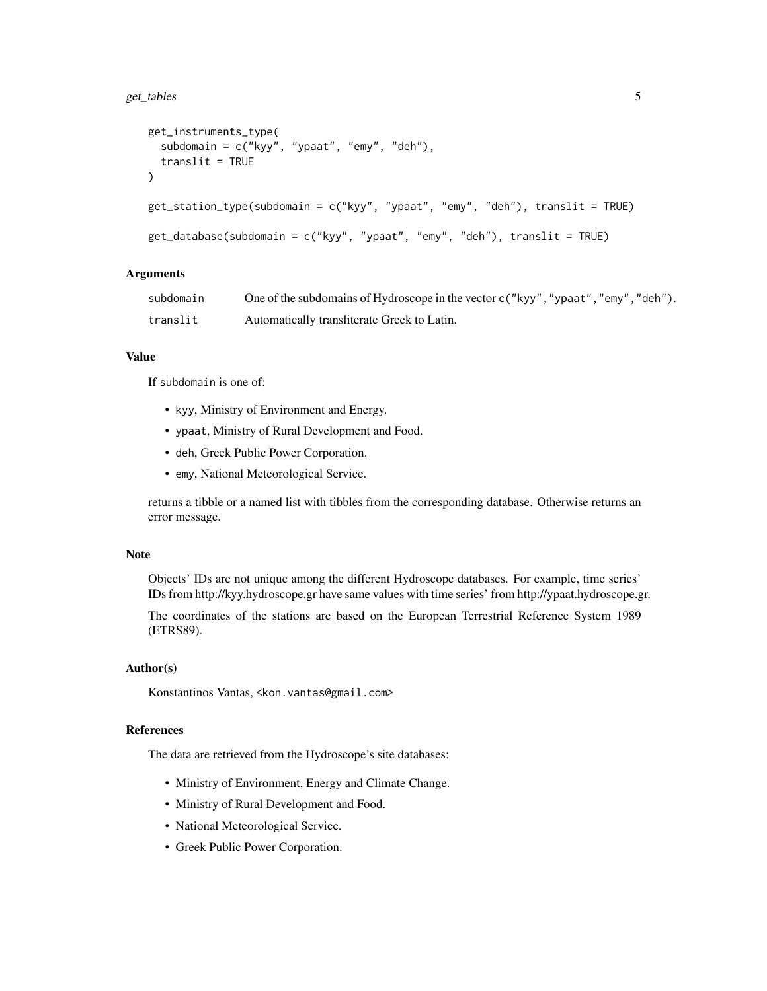```
get_instruments_type(
  subdomain = c("kyy", "ypaat", "emy", "deh"),
  translit = TRUE\lambdaget_station_type(subdomain = c("kyy", "ypaat", "emy", "deh"), translit = TRUE)
get_database(subdomain = c("kyy", "ypaat", "emy", "deh"), translit = TRUE)
```
#### Arguments

| subdomain | One of the subdomains of Hydroscope in the vector $c$ ("kyy", "ypaat", "emy", "deh"). |
|-----------|---------------------------------------------------------------------------------------|
| translit  | Automatically transliterate Greek to Latin.                                           |

# Value

If subdomain is one of:

- kyy, Ministry of Environment and Energy.
- ypaat, Ministry of Rural Development and Food.
- deh, Greek Public Power Corporation.
- emy, National Meteorological Service.

returns a tibble or a named list with tibbles from the corresponding database. Otherwise returns an error message.

#### Note

Objects' IDs are not unique among the different Hydroscope databases. For example, time series' IDs from http://kyy.hydroscope.gr have same values with time series' from http://ypaat.hydroscope.gr.

The coordinates of the stations are based on the European Terrestrial Reference System 1989 (ETRS89).

### Author(s)

Konstantinos Vantas, <kon.vantas@gmail.com>

#### References

The data are retrieved from the Hydroscope's site databases:

- Ministry of Environment, Energy and Climate Change.
- Ministry of Rural Development and Food.
- National Meteorological Service.
- Greek Public Power Corporation.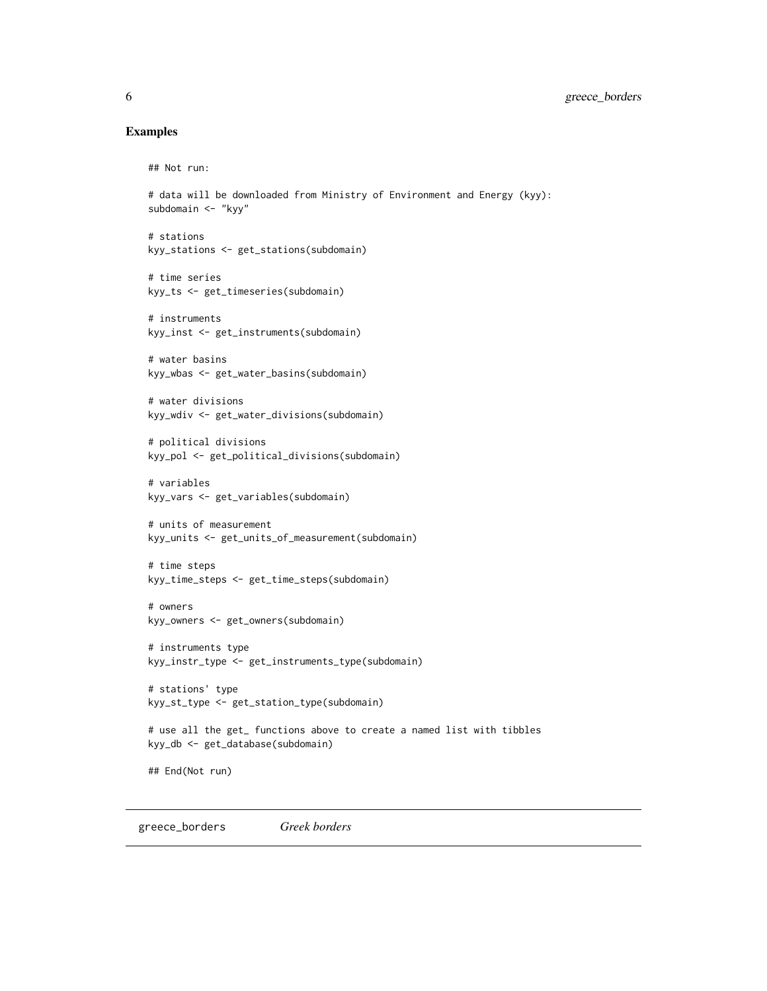#### <span id="page-5-0"></span>Examples

## Not run:

```
# data will be downloaded from Ministry of Environment and Energy (kyy):
subdomain <- "kyy"
```

```
# stations
kyy_stations <- get_stations(subdomain)
```

```
# time series
kyy_ts <- get_timeseries(subdomain)
```

```
# instruments
kyy_inst <- get_instruments(subdomain)
```

```
# water basins
kyy_wbas <- get_water_basins(subdomain)
```

```
# water divisions
kyy_wdiv <- get_water_divisions(subdomain)
```

```
# political divisions
kyy_pol <- get_political_divisions(subdomain)
```

```
# variables
kyy_vars <- get_variables(subdomain)
```

```
# units of measurement
kyy_units <- get_units_of_measurement(subdomain)
```

```
# time steps
kyy_time_steps <- get_time_steps(subdomain)
```

```
# owners
kyy_owners <- get_owners(subdomain)
```

```
# instruments type
kyy_instr_type <- get_instruments_type(subdomain)
```

```
# stations' type
kyy_st_type <- get_station_type(subdomain)
```

```
# use all the get_ functions above to create a named list with tibbles
kyy_db <- get_database(subdomain)
```

```
## End(Not run)
```
greece\_borders *Greek borders*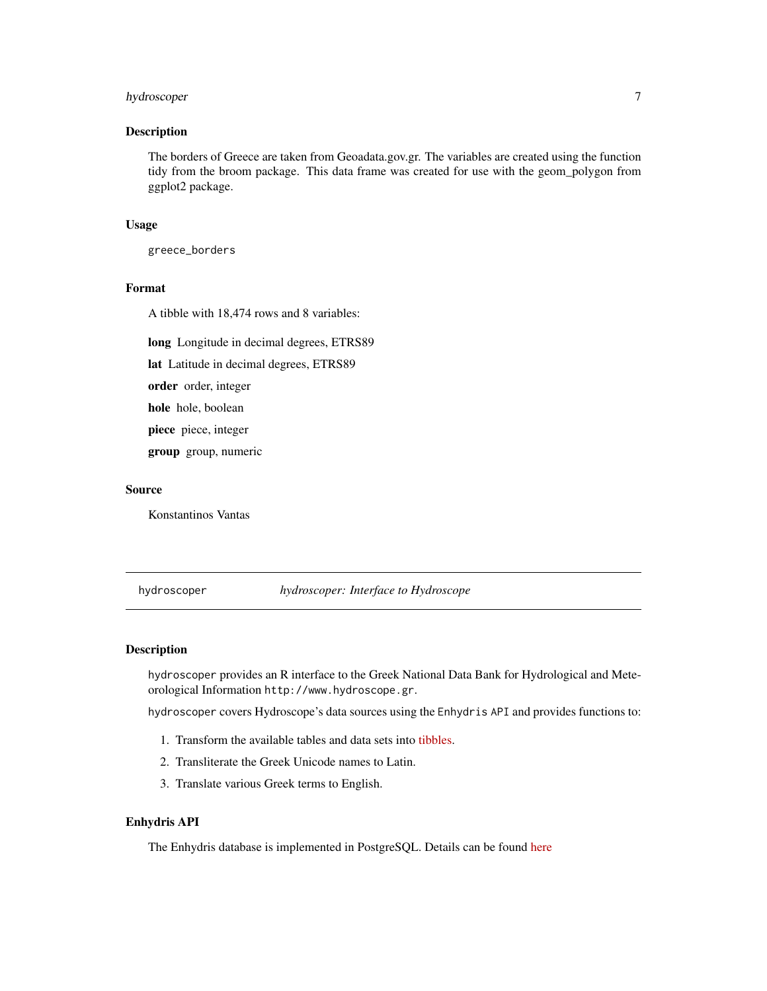# <span id="page-6-0"></span>hydroscoper 7

#### Description

The borders of Greece are taken from Geoadata.gov.gr. The variables are created using the function tidy from the broom package. This data frame was created for use with the geom\_polygon from ggplot2 package.

#### Usage

greece\_borders

# Format

A tibble with 18,474 rows and 8 variables:

long Longitude in decimal degrees, ETRS89

lat Latitude in decimal degrees, ETRS89

order order, integer

hole hole, boolean

piece piece, integer

group group, numeric

# Source

Konstantinos Vantas

#### hydroscoper *hydroscoper: Interface to Hydroscope*

#### Description

hydroscoper provides an R interface to the Greek National Data Bank for Hydrological and Meteorological Information http://www.hydroscope.gr.

hydroscoper covers Hydroscope's data sources using the Enhydris API and provides functions to:

- 1. Transform the available tables and data sets into [tibbles.](https://tibble.tidyverse.org/)
- 2. Transliterate the Greek Unicode names to Latin.
- 3. Translate various Greek terms to English.

#### Enhydris API

The Enhydris database is implemented in PostgreSQL. Details can be found [here](https://enhydris.readthedocs.io)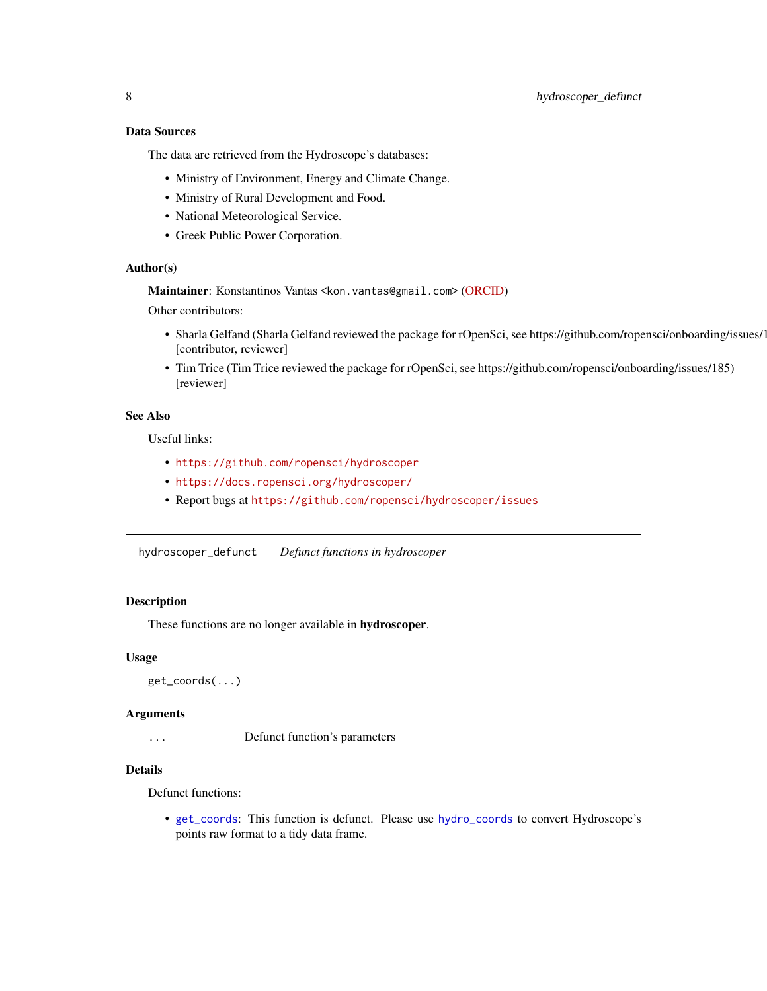# <span id="page-7-0"></span>Data Sources

The data are retrieved from the Hydroscope's databases:

- Ministry of Environment, Energy and Climate Change.
- Ministry of Rural Development and Food.
- National Meteorological Service.
- Greek Public Power Corporation.

# Author(s)

Maintainer: Konstantinos Vantas <kon.vantas@gmail.com> [\(ORCID\)](https://orcid.org/0000-0001-6387-8791) Other contributors:

- Sharla Gelfand (Sharla Gelfand reviewed the package for rOpenSci, see https://github.com/ropensci/onboarding/issues/1 [contributor, reviewer]
- Tim Trice (Tim Trice reviewed the package for rOpenSci, see https://github.com/ropensci/onboarding/issues/185) [reviewer]

# See Also

Useful links:

- <https://github.com/ropensci/hydroscoper>
- <https://docs.ropensci.org/hydroscoper/>
- Report bugs at <https://github.com/ropensci/hydroscoper/issues>

hydroscoper\_defunct *Defunct functions in hydroscoper*

#### <span id="page-7-1"></span>Description

These functions are no longer available in hydroscoper.

#### Usage

```
get_coords(...)
```
### Arguments

... Defunct function's parameters

#### Details

Defunct functions:

• [get\\_coords](#page-7-1): This function is defunct. Please use [hydro\\_coords](#page-8-1) to convert Hydroscope's points raw format to a tidy data frame.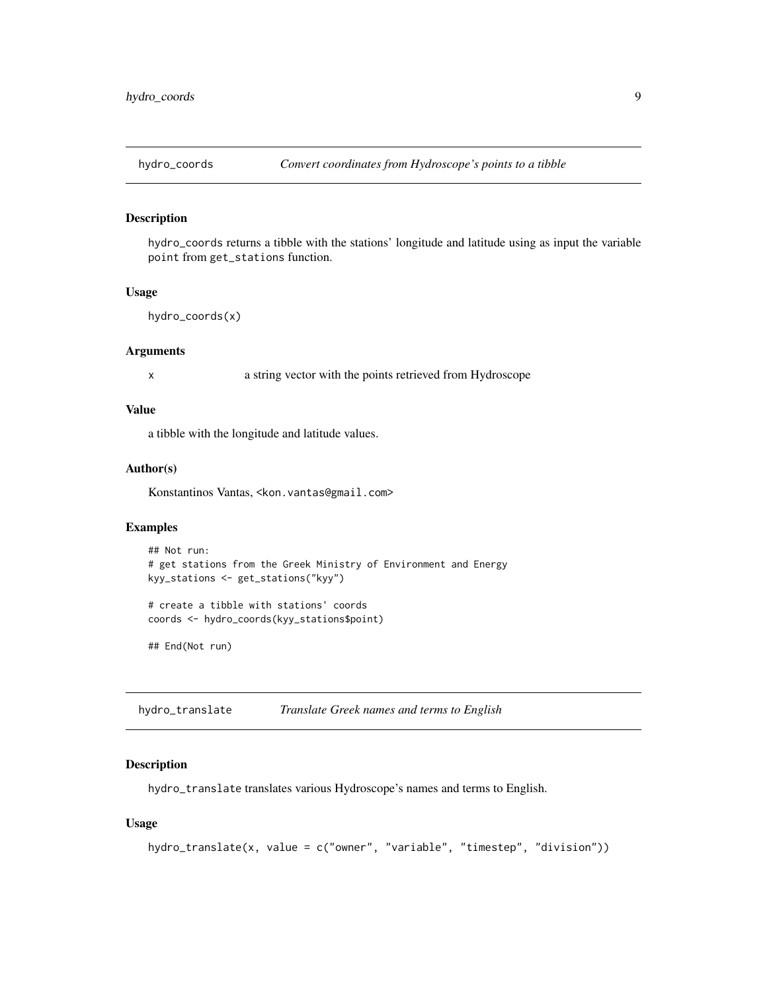<span id="page-8-1"></span><span id="page-8-0"></span>

#### Description

hydro\_coords returns a tibble with the stations' longitude and latitude using as input the variable point from get\_stations function.

#### Usage

```
hydro_coords(x)
```
# Arguments

x a string vector with the points retrieved from Hydroscope

#### Value

a tibble with the longitude and latitude values.

#### Author(s)

Konstantinos Vantas, <kon.vantas@gmail.com>

#### Examples

```
## Not run:
# get stations from the Greek Ministry of Environment and Energy
kyy_stations <- get_stations("kyy")
# create a tibble with stations' coords
coords <- hydro_coords(kyy_stations$point)
```
## End(Not run)

hydro\_translate *Translate Greek names and terms to English*

# Description

hydro\_translate translates various Hydroscope's names and terms to English.

#### Usage

```
hydro_translate(x, value = c("owner", "variable", "timestep", "division"))
```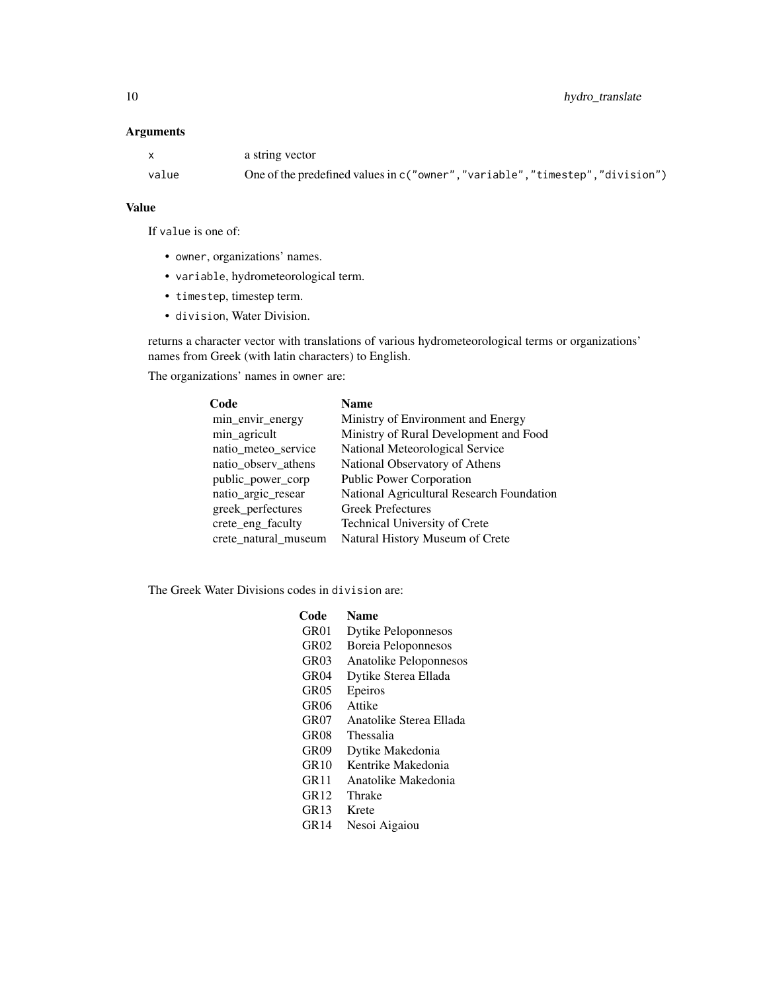# Arguments

| $\mathsf{x}$ | a string vector                                                             |
|--------------|-----------------------------------------------------------------------------|
| value        | One of the predefined values in c("owner","variable","timestep","division") |

# Value

If value is one of:

- owner, organizations' names.
- variable, hydrometeorological term.
- timestep, timestep term.
- division, Water Division.

returns a character vector with translations of various hydrometeorological terms or organizations' names from Greek (with latin characters) to English.

The organizations' names in owner are:

| Code                 | <b>Name</b>                               |  |
|----------------------|-------------------------------------------|--|
| min_envir_energy     | Ministry of Environment and Energy        |  |
| min_agricult         | Ministry of Rural Development and Food    |  |
| natio_meteo_service  | National Meteorological Service           |  |
| natio_observ_athens  | National Observatory of Athens            |  |
| public_power_corp    | <b>Public Power Corporation</b>           |  |
| natio_argic_resear   | National Agricultural Research Foundation |  |
| greek_perfectures    | <b>Greek Prefectures</b>                  |  |
| crete_eng_faculty    | Technical University of Crete             |  |
| crete_natural_museum | Natural History Museum of Crete           |  |

The Greek Water Divisions codes in division are:

| Code  | <b>Name</b>                |
|-------|----------------------------|
| GR01  | Dytike Peloponnesos        |
| GR02  | <b>Boreia Peloponnesos</b> |
| GR03  | Anatolike Peloponnesos     |
| GR04  | Dytike Sterea Ellada       |
| GR05  | Epeiros                    |
| GR06  | Attike                     |
| GR07  | Anatolike Sterea Ellada    |
| GR08  | Thessalia                  |
| GR09  | Dytike Makedonia           |
| GR 10 | Kentrike Makedonia         |
| GR11  | Anatolike Makedonia        |
| GR12  | Thrake                     |
| GR13  | Krete                      |
| GR 14 | Nesoi Aigaiou              |
|       |                            |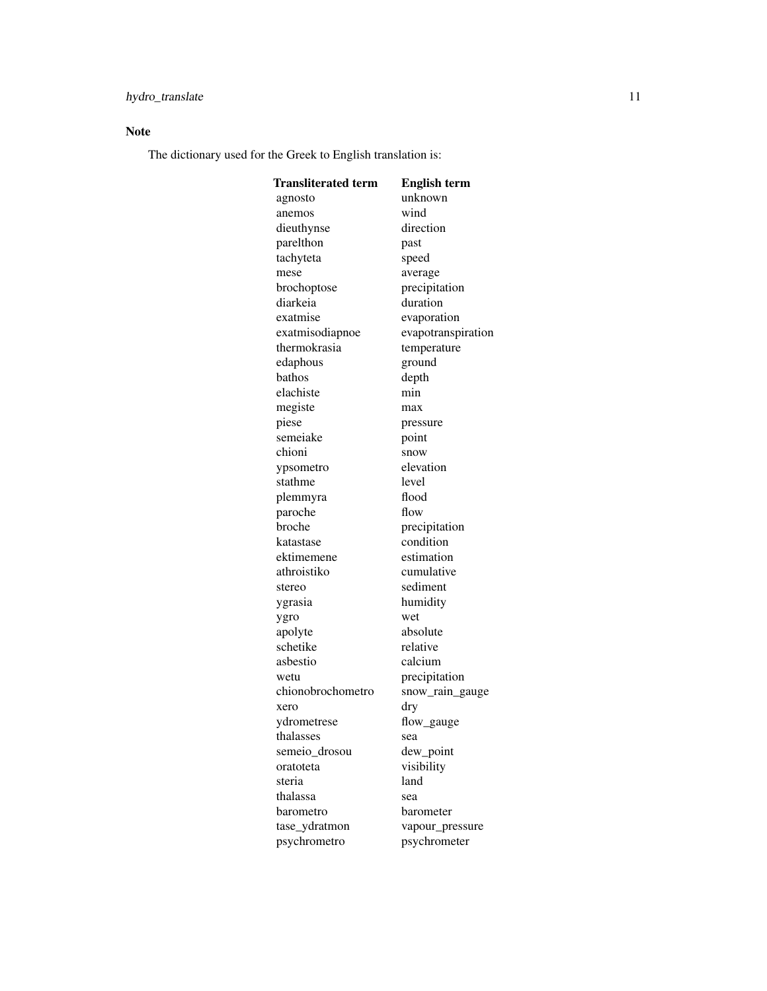# Note

The dictionary used for the Greek to English translation is:

| Transliterated term | <b>English term</b> |
|---------------------|---------------------|
| agnosto             | unknown             |
| anemos              | wind                |
| dieuthynse          | direction           |
| parelthon           | past                |
| tachyteta           | speed               |
| mese                | average             |
| brochoptose         | precipitation       |
| diarkeia            | duration            |
| exatmise            | evaporation         |
| exatmisodiapnoe     | evapotranspiration  |
| thermokrasia        | temperature         |
| edaphous            | ground              |
| bathos              | depth               |
| elachiste           | min                 |
| megiste             | max                 |
| piese               | pressure            |
| semeiake            | point               |
| chioni              | snow                |
| ypsometro           | elevation           |
| stathme             | level               |
| plemmyra            | flood               |
| paroche             | flow                |
| broche              | precipitation       |
| katastase           | condition           |
| ektimemene          | estimation          |
| athroistiko         | cumulative          |
| stereo              | sediment            |
| ygrasia             | humidity            |
| ygro                | wet                 |
| apolyte             | absolute            |
| schetike            | relative            |
| asbestio            | calcium             |
| wetu                | precipitation       |
| chionobrochometro   | snow_rain_gauge     |
| xero                | dry                 |
| ydrometrese         | flow_gauge          |
| thalasses           | sea                 |
| semeio_drosou       | dew_point           |
| oratoteta           | visibility          |
| steria              | land                |
| thalassa            | sea                 |
| barometro           | barometer           |
| tase_ydratmon       | vapour_pressure     |
| psychrometro        | psychrometer        |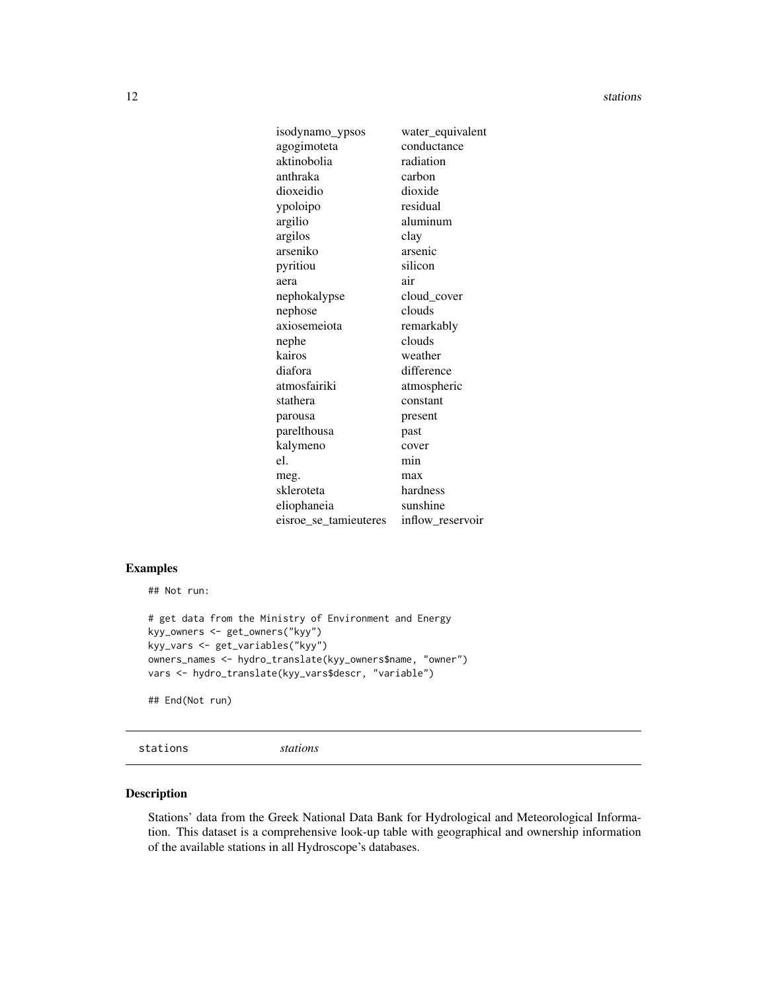<span id="page-11-0"></span>

| isodynamo_ypsos       | water_equivalent |
|-----------------------|------------------|
| agogimoteta           | conductance      |
| aktinobolia           | radiation        |
| anthraka              | carbon           |
| dioxeidio             | dioxide          |
| ypoloipo              | residual         |
| argilio               | aluminum         |
| argilos               | clay             |
| arseniko              | arsenic          |
| pyritiou              | silicon          |
| aera                  | air              |
| nephokalypse          | cloud_cover      |
| nephose               | clouds           |
| axiosemeiota          | remarkably       |
| nephe                 | clouds           |
| kairos                | weather          |
| diafora               | difference       |
| atmosfairiki          | atmospheric      |
| stathera              | constant         |
| parousa               | present          |
| parelthousa           | past             |
| kalymeno              | cover            |
| e1.                   | min              |
| meg.                  | max              |
| skleroteta            | hardness         |
| eliophaneia           | sunshine         |
| eisroe_se_tamieuteres | inflow_reservoir |

# Examples

## Not run:

```
# get data from the Ministry of Environment and Energy
kyy_owners <- get_owners("kyy")
kyy_vars <- get_variables("kyy")
owners_names <- hydro_translate(kyy_owners$name, "owner")
vars <- hydro_translate(kyy_vars$descr, "variable")
```
## End(Not run)

```
stations stations
```
# Description

Stations' data from the Greek National Data Bank for Hydrological and Meteorological Information. This dataset is a comprehensive look-up table with geographical and ownership information of the available stations in all Hydroscope's databases.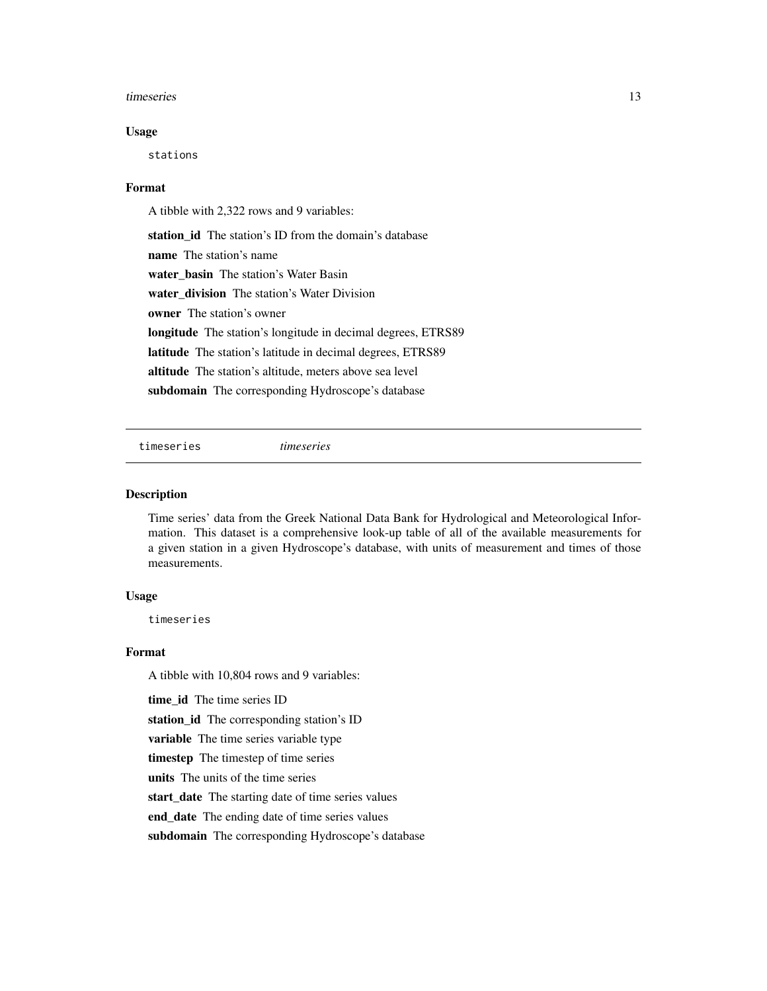#### <span id="page-12-0"></span>timeseries and the series of the series of the series of the series of the series of the series of the series of the series of the series of the series of the series of the series of the series of the series of the series

#### Usage

stations

#### Format

A tibble with 2,322 rows and 9 variables:

station id The station's ID from the domain's database name The station's name water basin The station's Water Basin water\_division The station's Water Division owner The station's owner longitude The station's longitude in decimal degrees, ETRS89 latitude The station's latitude in decimal degrees, ETRS89 altitude The station's altitude, meters above sea level subdomain The corresponding Hydroscope's database

timeseries *timeseries*

#### **Description**

Time series' data from the Greek National Data Bank for Hydrological and Meteorological Information. This dataset is a comprehensive look-up table of all of the available measurements for a given station in a given Hydroscope's database, with units of measurement and times of those measurements.

#### Usage

timeseries

#### Format

A tibble with 10,804 rows and 9 variables:

time id The time series ID

station\_id The corresponding station's ID

variable The time series variable type

timestep The timestep of time series

units The units of the time series

start\_date The starting date of time series values

end\_date The ending date of time series values

subdomain The corresponding Hydroscope's database